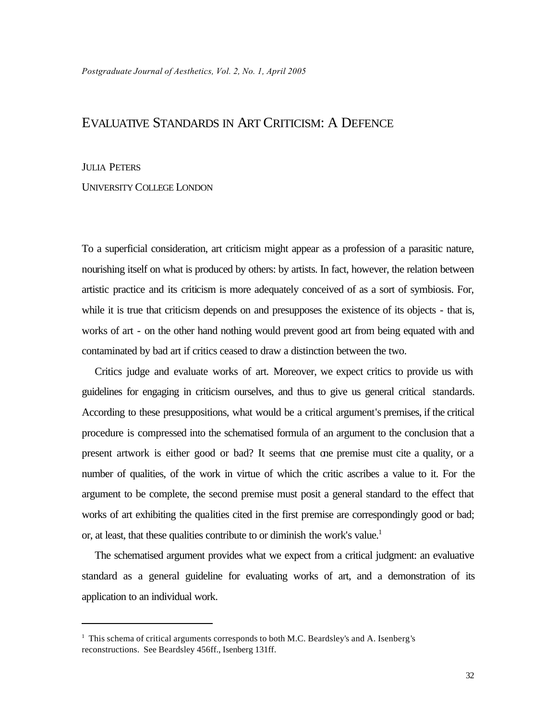## EVALUATIVE STANDARDS IN ART CRITICISM: A DEFENCE

## **JULIA PETERS**

## UNIVERSITY COLLEGE LONDON

To a superficial consideration, art criticism might appear as a profession of a parasitic nature, nourishing itself on what is produced by others: by artists. In fact, however, the relation between artistic practice and its criticism is more adequately conceived of as a sort of symbiosis. For, while it is true that criticism depends on and presupposes the existence of its objects - that is, works of art - on the other hand nothing would prevent good art from being equated with and contaminated by bad art if critics ceased to draw a distinction between the two.

Critics judge and evaluate works of art. Moreover, we expect critics to provide us with guidelines for engaging in criticism ourselves, and thus to give us general critical standards. According to these presuppositions, what would be a critical argument's premises, if the critical procedure is compressed into the schematised formula of an argument to the conclusion that a present artwork is either good or bad? It seems that one premise must cite a quality, or a number of qualities, of the work in virtue of which the critic ascribes a value to it. For the argument to be complete, the second premise must posit a general standard to the effect that works of art exhibiting the qualities cited in the first premise are correspondingly good or bad; or, at least, that these qualities contribute to or diminish the work's value.<sup>1</sup>

The schematised argument provides what we expect from a critical judgment: an evaluative standard as a general guideline for evaluating works of art, and a demonstration of its application to an individual work.

<sup>&</sup>lt;sup>1</sup> This schema of critical arguments corresponds to both M.C. Beardsley's and A. Isenberg's reconstructions. See Beardsley 456ff., Isenberg 131ff.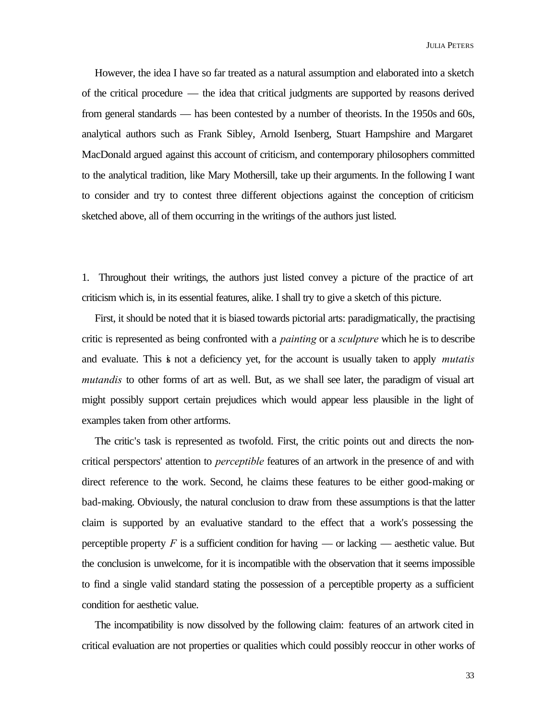However, the idea I have so far treated as a natural assumption and elaborated into a sketch of the critical procedure — the idea that critical judgments are supported by reasons derived from general standards — has been contested by a number of theorists. In the 1950s and 60s, analytical authors such as Frank Sibley, Arnold Isenberg, Stuart Hampshire and Margaret MacDonald argued against this account of criticism, and contemporary philosophers committed to the analytical tradition, like Mary Mothersill, take up their arguments. In the following I want to consider and try to contest three different objections against the conception of criticism sketched above, all of them occurring in the writings of the authors just listed.

1. Throughout their writings, the authors just listed convey a picture of the practice of art criticism which is, in its essential features, alike. I shall try to give a sketch of this picture.

First, it should be noted that it is biased towards pictorial arts: paradigmatically, the practising critic is represented as being confronted with a *painting* or a *sculpture* which he is to describe and evaluate. This is not a deficiency yet, for the account is usually taken to apply *mutatis mutandis* to other forms of art as well. But, as we shall see later, the paradigm of visual art might possibly support certain prejudices which would appear less plausible in the light of examples taken from other artforms.

The critic's task is represented as twofold. First, the critic points out and directs the noncritical perspectors' attention to *perceptible* features of an artwork in the presence of and with direct reference to the work. Second, he claims these features to be either good-making or bad-making. Obviously, the natural conclusion to draw from these assumptions is that the latter claim is supported by an evaluative standard to the effect that a work's possessing the perceptible property  $F$  is a sufficient condition for having — or lacking — aesthetic value. But the conclusion is unwelcome, for it is incompatible with the observation that it seems impossible to find a single valid standard stating the possession of a perceptible property as a sufficient condition for aesthetic value.

The incompatibility is now dissolved by the following claim: features of an artwork cited in critical evaluation are not properties or qualities which could possibly reoccur in other works of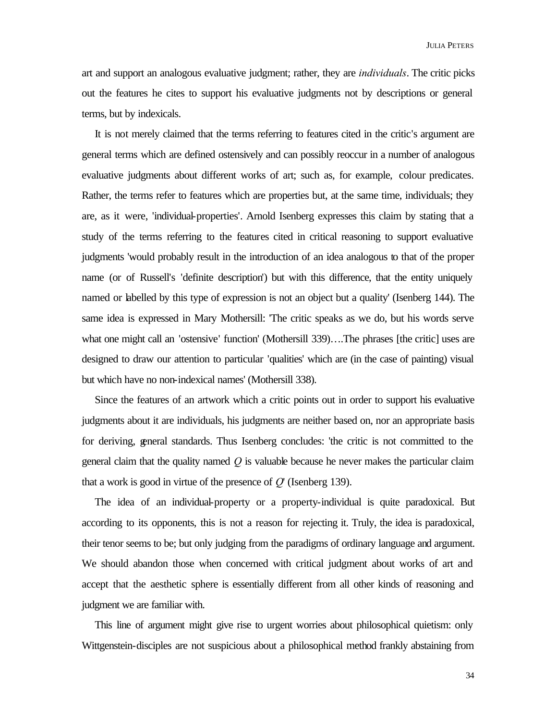art and support an analogous evaluative judgment; rather, they are *individuals*. The critic picks out the features he cites to support his evaluative judgments not by descriptions or general terms, but by indexicals.

It is not merely claimed that the terms referring to features cited in the critic's argument are general terms which are defined ostensively and can possibly reoccur in a number of analogous evaluative judgments about different works of art; such as, for example, colour predicates. Rather, the terms refer to features which are properties but, at the same time, individuals; they are, as it were, 'individual-properties'. Arnold Isenberg expresses this claim by stating that a study of the terms referring to the features cited in critical reasoning to support evaluative judgments 'would probably result in the introduction of an idea analogous to that of the proper name (or of Russell's 'definite description') but with this difference, that the entity uniquely named or labelled by this type of expression is not an object but a quality' (Isenberg 144). The same idea is expressed in Mary Mothersill: 'The critic speaks as we do, but his words serve what one might call an 'ostensive' function' (Mothersill 339)....The phrases [the critic] uses are designed to draw our attention to particular 'qualities' which are (in the case of painting) visual but which have no non-indexical names' (Mothersill 338).

Since the features of an artwork which a critic points out in order to support his evaluative judgments about it are individuals, his judgments are neither based on, nor an appropriate basis for deriving, general standards. Thus Isenberg concludes: 'the critic is not committed to the general claim that the quality named *Q* is valuable because he never makes the particular claim that a work is good in virtue of the presence of *Q*' (Isenberg 139).

The idea of an individual-property or a property-individual is quite paradoxical. But according to its opponents, this is not a reason for rejecting it. Truly, the idea is paradoxical, their tenor seems to be; but only judging from the paradigms of ordinary language and argument. We should abandon those when concerned with critical judgment about works of art and accept that the aesthetic sphere is essentially different from all other kinds of reasoning and judgment we are familiar with.

This line of argument might give rise to urgent worries about philosophical quietism: only Wittgenstein-disciples are not suspicious about a philosophical method frankly abstaining from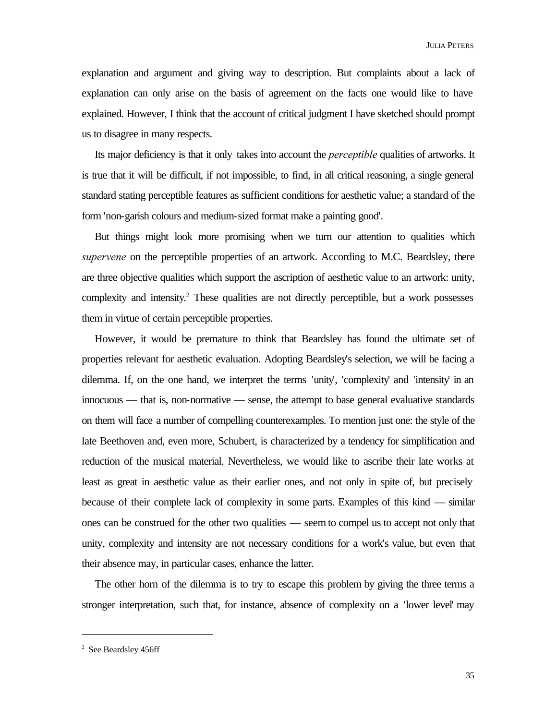explanation and argument and giving way to description. But complaints about a lack of explanation can only arise on the basis of agreement on the facts one would like to have explained. However, I think that the account of critical judgment I have sketched should prompt us to disagree in many respects.

Its major deficiency is that it only takes into account the *perceptible* qualities of artworks. It is true that it will be difficult, if not impossible, to find, in all critical reasoning, a single general standard stating perceptible features as sufficient conditions for aesthetic value; a standard of the form 'non-garish colours and medium-sized format make a painting good'.

But things might look more promising when we turn our attention to qualities which *supervene* on the perceptible properties of an artwork. According to M.C. Beardsley, there are three objective qualities which support the ascription of aesthetic value to an artwork: unity, complexity and intensity.<sup>2</sup> These qualities are not directly perceptible, but a work possesses them in virtue of certain perceptible properties.

However, it would be premature to think that Beardsley has found the ultimate set of properties relevant for aesthetic evaluation. Adopting Beardsley's selection, we will be facing a dilemma. If, on the one hand, we interpret the terms 'unity', 'complexity' and 'intensity' in an innocuous — that is, non-normative — sense, the attempt to base general evaluative standards on them will face a number of compelling counterexamples. To mention just one: the style of the late Beethoven and, even more, Schubert, is characterized by a tendency for simplification and reduction of the musical material. Nevertheless, we would like to ascribe their late works at least as great in aesthetic value as their earlier ones, and not only in spite of, but precisely because of their complete lack of complexity in some parts. Examples of this kind — similar ones can be construed for the other two qualities — seem to compel us to accept not only that unity, complexity and intensity are not necessary conditions for a work's value, but even that their absence may, in particular cases, enhance the latter.

The other horn of the dilemma is to try to escape this problem by giving the three terms a stronger interpretation, such that, for instance, absence of complexity on a 'lower level' may

<sup>&</sup>lt;sup>2</sup> See Beardsley 456ff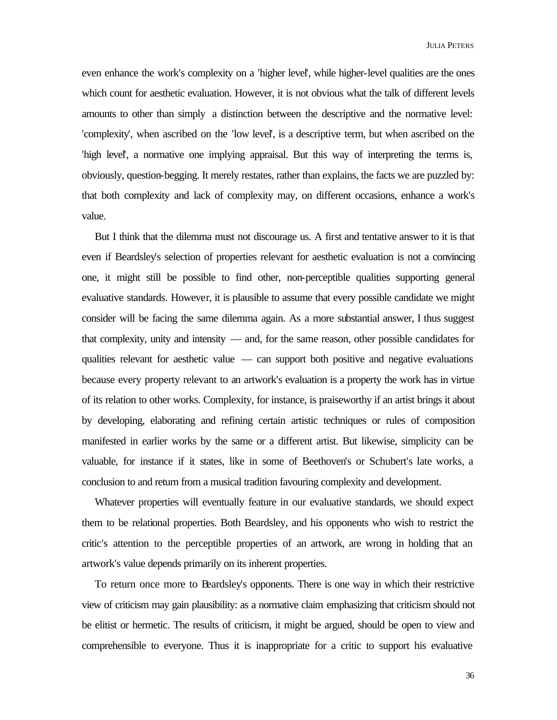even enhance the work's complexity on a 'higher level', while higher-level qualities are the ones which count for aesthetic evaluation. However, it is not obvious what the talk of different levels amounts to other than simply a distinction between the descriptive and the normative level: 'complexity', when ascribed on the 'low level', is a descriptive term, but when ascribed on the 'high level', a normative one implying appraisal. But this way of interpreting the terms is, obviously, question-begging. It merely restates, rather than explains, the facts we are puzzled by: that both complexity and lack of complexity may, on different occasions, enhance a work's value.

But I think that the dilemma must not discourage us. A first and tentative answer to it is that even if Beardsley's selection of properties relevant for aesthetic evaluation is not a convincing one, it might still be possible to find other, non-perceptible qualities supporting general evaluative standards. However, it is plausible to assume that every possible candidate we might consider will be facing the same dilemma again. As a more substantial answer, I thus suggest that complexity, unity and intensity — and, for the same reason, other possible candidates for qualities relevant for aesthetic value — can support both positive and negative evaluations because every property relevant to an artwork's evaluation is a property the work has in virtue of its relation to other works. Complexity, for instance, is praiseworthy if an artist brings it about by developing, elaborating and refining certain artistic techniques or rules of composition manifested in earlier works by the same or a different artist. But likewise, simplicity can be valuable, for instance if it states, like in some of Beethoven's or Schubert's late works, a conclusion to and return from a musical tradition favouring complexity and development.

Whatever properties will eventually feature in our evaluative standards, we should expect them to be relational properties. Both Beardsley, and his opponents who wish to restrict the critic's attention to the perceptible properties of an artwork, are wrong in holding that an artwork's value depends primarily on its inherent properties.

To return once more to Beardsley's opponents. There is one way in which their restrictive view of criticism may gain plausibility: as a normative claim emphasizing that criticism should not be elitist or hermetic. The results of criticism, it might be argued, should be open to view and comprehensible to everyone. Thus it is inappropriate for a critic to support his evaluative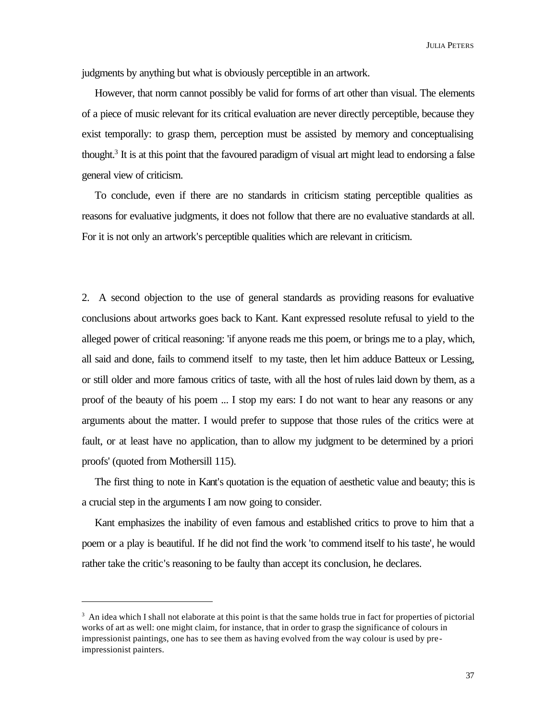JULIA PETERS

judgments by anything but what is obviously perceptible in an artwork.

However, that norm cannot possibly be valid for forms of art other than visual. The elements of a piece of music relevant for its critical evaluation are never directly perceptible, because they exist temporally: to grasp them, perception must be assisted by memory and conceptualising thought.<sup>3</sup> It is at this point that the favoured paradigm of visual art might lead to endorsing a false general view of criticism.

To conclude, even if there are no standards in criticism stating perceptible qualities as reasons for evaluative judgments, it does not follow that there are no evaluative standards at all. For it is not only an artwork's perceptible qualities which are relevant in criticism.

2. A second objection to the use of general standards as providing reasons for evaluative conclusions about artworks goes back to Kant. Kant expressed resolute refusal to yield to the alleged power of critical reasoning: 'if anyone reads me this poem, or brings me to a play, which, all said and done, fails to commend itself to my taste, then let him adduce Batteux or Lessing, or still older and more famous critics of taste, with all the host of rules laid down by them, as a proof of the beauty of his poem ... I stop my ears: I do not want to hear any reasons or any arguments about the matter. I would prefer to suppose that those rules of the critics were at fault, or at least have no application, than to allow my judgment to be determined by a priori proofs' (quoted from Mothersill 115).

The first thing to note in Kant's quotation is the equation of aesthetic value and beauty; this is a crucial step in the arguments I am now going to consider.

Kant emphasizes the inability of even famous and established critics to prove to him that a poem or a play is beautiful. If he did not find the work 'to commend itself to his taste', he would rather take the critic's reasoning to be faulty than accept its conclusion, he declares.

<sup>&</sup>lt;sup>3</sup> An idea which I shall not elaborate at this point is that the same holds true in fact for properties of pictorial works of art as well: one might claim, for instance, that in order to grasp the significance of colours in impressionist paintings, one has to see them as having evolved from the way colour is used by preimpressionist painters.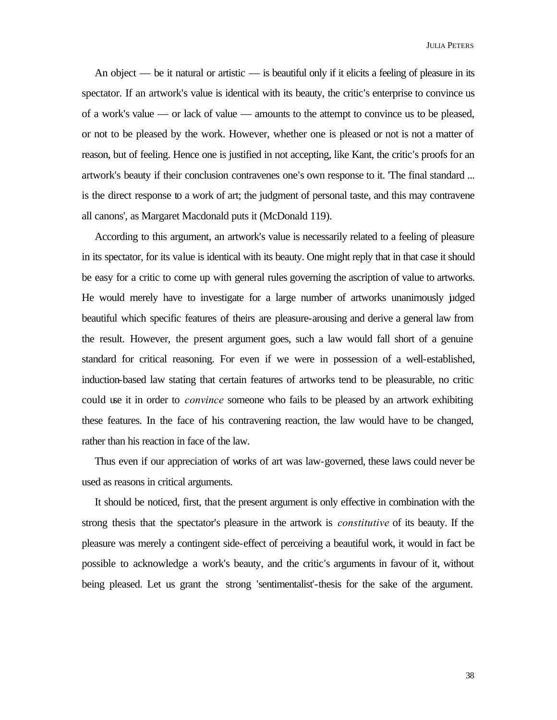An object — be it natural or artistic — is beautiful only if it elicits a feeling of pleasure in its spectator. If an artwork's value is identical with its beauty, the critic's enterprise to convince us of a work's value — or lack of value — amounts to the attempt to convince us to be pleased, or not to be pleased by the work. However, whether one is pleased or not is not a matter of reason, but of feeling. Hence one is justified in not accepting, like Kant, the critic's proofs for an artwork's beauty if their conclusion contravenes one's own response to it. 'The final standard ... is the direct response to a work of art; the judgment of personal taste, and this may contravene all canons', as Margaret Macdonald puts it (McDonald 119).

According to this argument, an artwork's value is necessarily related to a feeling of pleasure in its spectator, for its value is identical with its beauty. One might reply that in that case it should be easy for a critic to come up with general rules governing the ascription of value to artworks. He would merely have to investigate for a large number of artworks unanimously judged beautiful which specific features of theirs are pleasure-arousing and derive a general law from the result. However, the present argument goes, such a law would fall short of a genuine standard for critical reasoning. For even if we were in possession of a well-established, induction-based law stating that certain features of artworks tend to be pleasurable, no critic could use it in order to *convince* someone who fails to be pleased by an artwork exhibiting these features. In the face of his contravening reaction, the law would have to be changed, rather than his reaction in face of the law.

Thus even if our appreciation of works of art was law-governed, these laws could never be used as reasons in critical arguments.

It should be noticed, first, that the present argument is only effective in combination with the strong thesis that the spectator's pleasure in the artwork is *constitutive* of its beauty. If the pleasure was merely a contingent side-effect of perceiving a beautiful work, it would in fact be possible to acknowledge a work's beauty, and the critic's arguments in favour of it, without being pleased. Let us grant the strong 'sentimentalist'-thesis for the sake of the argument.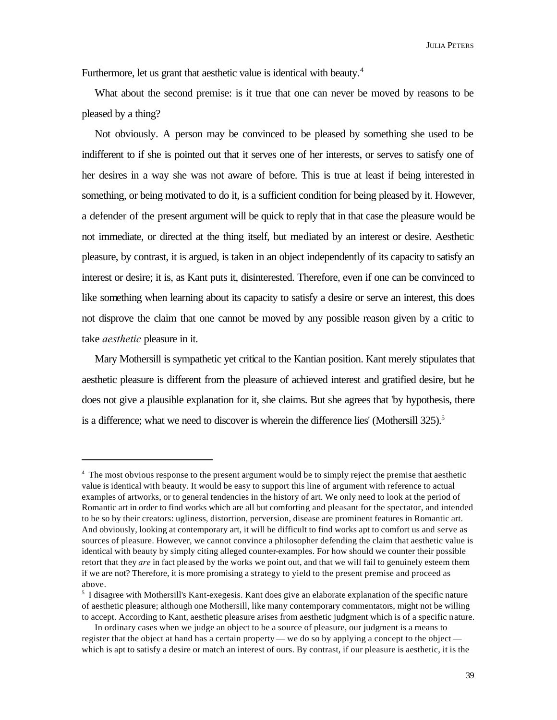JULIA PETERS

Furthermore, let us grant that aesthetic value is identical with beauty.<sup>4</sup>

What about the second premise: is it true that one can never be moved by reasons to be pleased by a thing?

Not obviously. A person may be convinced to be pleased by something she used to be indifferent to if she is pointed out that it serves one of her interests, or serves to satisfy one of her desires in a way she was not aware of before. This is true at least if being interested in something, or being motivated to do it, is a sufficient condition for being pleased by it. However, a defender of the present argument will be quick to reply that in that case the pleasure would be not immediate, or directed at the thing itself, but mediated by an interest or desire. Aesthetic pleasure, by contrast, it is argued, is taken in an object independently of its capacity to satisfy an interest or desire; it is, as Kant puts it, disinterested. Therefore, even if one can be convinced to like something when learning about its capacity to satisfy a desire or serve an interest, this does not disprove the claim that one cannot be moved by any possible reason given by a critic to take *aesthetic* pleasure in it.

Mary Mothersill is sympathetic yet critical to the Kantian position. Kant merely stipulates that aesthetic pleasure is different from the pleasure of achieved interest and gratified desire, but he does not give a plausible explanation for it, she claims. But she agrees that 'by hypothesis, there is a difference; what we need to discover is wherein the difference lies' (Mothersill  $325$ ).<sup>5</sup>

<sup>&</sup>lt;sup>4</sup> The most obvious response to the present argument would be to simply reject the premise that aesthetic value is identical with beauty. It would be easy to support this line of argument with reference to actual examples of artworks, or to general tendencies in the history of art. We only need to look at the period of Romantic art in order to find works which are all but comforting and pleasant for the spectator, and intended to be so by their creators: ugliness, distortion, perversion, disease are prominent features in Romantic art. And obviously, looking at contemporary art, it will be difficult to find works apt to comfort us and serve as sources of pleasure. However, we cannot convince a philosopher defending the claim that aesthetic value is identical with beauty by simply citing alleged counter-examples. For how should we counter their possible retort that they *are* in fact pleased by the works we point out, and that we will fail to genuinely esteem them if we are not? Therefore, it is more promising a strategy to yield to the present premise and proceed as above.

<sup>&</sup>lt;sup>5</sup> I disagree with Mothersill's Kant-exegesis. Kant does give an elaborate explanation of the specific nature of aesthetic pleasure; although one Mothersill, like many contemporary commentators, might not be willing to accept. According to Kant, aesthetic pleasure arises from aesthetic judgment which is of a specific nature.

In ordinary cases when we judge an object to be a source of pleasure, our judgment is a means to register that the object at hand has a certain property — we do so by applying a concept to the object which is apt to satisfy a desire or match an interest of ours. By contrast, if our pleasure is aesthetic, it is the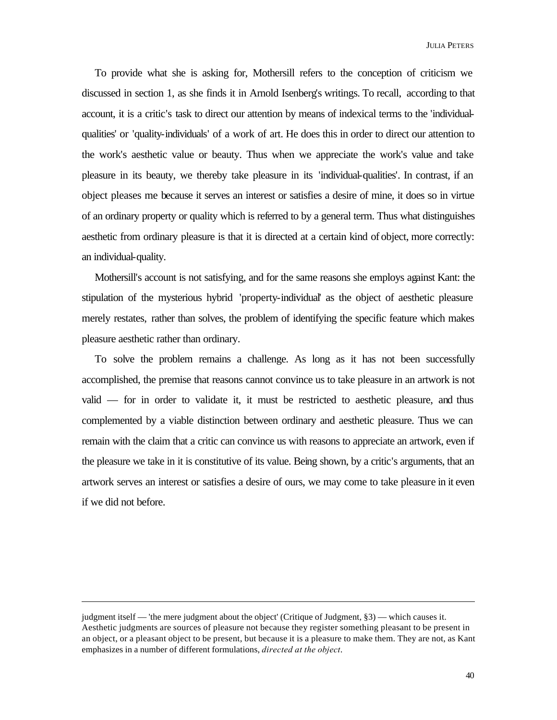To provide what she is asking for, Mothersill refers to the conception of criticism we discussed in section 1, as she finds it in Arnold Isenberg's writings. To recall, according to that account, it is a critic's task to direct our attention by means of indexical terms to the 'individualqualities' or 'quality-individuals' of a work of art. He does this in order to direct our attention to the work's aesthetic value or beauty. Thus when we appreciate the work's value and take pleasure in its beauty, we thereby take pleasure in its 'individual-qualities'. In contrast, if an object pleases me because it serves an interest or satisfies a desire of mine, it does so in virtue of an ordinary property or quality which is referred to by a general term. Thus what distinguishes aesthetic from ordinary pleasure is that it is directed at a certain kind of object, more correctly: an individual-quality.

Mothersill's account is not satisfying, and for the same reasons she employs against Kant: the stipulation of the mysterious hybrid 'property-individual' as the object of aesthetic pleasure merely restates, rather than solves, the problem of identifying the specific feature which makes pleasure aesthetic rather than ordinary.

To solve the problem remains a challenge. As long as it has not been successfully accomplished, the premise that reasons cannot convince us to take pleasure in an artwork is not valid — for in order to validate it, it must be restricted to aesthetic pleasure, and thus complemented by a viable distinction between ordinary and aesthetic pleasure. Thus we can remain with the claim that a critic can convince us with reasons to appreciate an artwork, even if the pleasure we take in it is constitutive of its value. Being shown, by a critic's arguments, that an artwork serves an interest or satisfies a desire of ours, we may come to take pleasure in it even if we did not before.

judgment itself — 'the mere judgment about the object' (Critique of Judgment, §3) — which causes it. Aesthetic judgments are sources of pleasure not because they register something pleasant to be present in an object, or a pleasant object to be present, but because it is a pleasure to make them. They are not, as Kant emphasizes in a number of different formulations, *directed at the object*.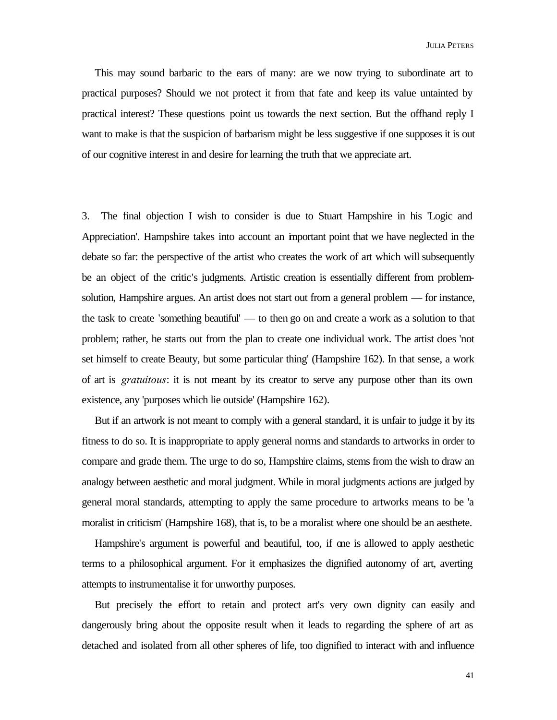JULIA PETERS

This may sound barbaric to the ears of many: are we now trying to subordinate art to practical purposes? Should we not protect it from that fate and keep its value untainted by practical interest? These questions point us towards the next section. But the offhand reply I want to make is that the suspicion of barbarism might be less suggestive if one supposes it is out of our cognitive interest in and desire for learning the truth that we appreciate art.

3. The final objection I wish to consider is due to Stuart Hampshire in his 'Logic and Appreciation'. Hampshire takes into account an important point that we have neglected in the debate so far: the perspective of the artist who creates the work of art which will subsequently be an object of the critic's judgments. Artistic creation is essentially different from problemsolution, Hampshire argues. An artist does not start out from a general problem — for instance, the task to create 'something beautiful' — to then go on and create a work as a solution to that problem; rather, he starts out from the plan to create one individual work. The artist does 'not set himself to create Beauty, but some particular thing' (Hampshire 162). In that sense, a work of art is *gratuitous*: it is not meant by its creator to serve any purpose other than its own existence, any 'purposes which lie outside' (Hampshire 162).

But if an artwork is not meant to comply with a general standard, it is unfair to judge it by its fitness to do so. It is inappropriate to apply general norms and standards to artworks in order to compare and grade them. The urge to do so, Hampshire claims, stems from the wish to draw an analogy between aesthetic and moral judgment. While in moral judgments actions are judged by general moral standards, attempting to apply the same procedure to artworks means to be 'a moralist in criticism' (Hampshire 168), that is, to be a moralist where one should be an aesthete.

Hampshire's argument is powerful and beautiful, too, if one is allowed to apply aesthetic terms to a philosophical argument. For it emphasizes the dignified autonomy of art, averting attempts to instrumentalise it for unworthy purposes.

But precisely the effort to retain and protect art's very own dignity can easily and dangerously bring about the opposite result when it leads to regarding the sphere of art as detached and isolated from all other spheres of life, too dignified to interact with and influence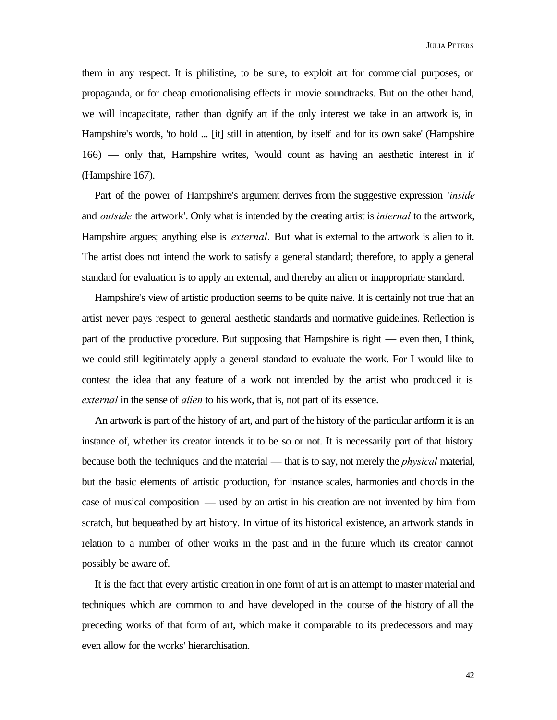them in any respect. It is philistine, to be sure, to exploit art for commercial purposes, or propaganda, or for cheap emotionalising effects in movie soundtracks. But on the other hand, we will incapacitate, rather than dignify art if the only interest we take in an artwork is, in Hampshire's words, 'to hold ... [it] still in attention, by itself and for its own sake' (Hampshire 166) — only that, Hampshire writes, 'would count as having an aesthetic interest in it' (Hampshire 167).

Part of the power of Hampshire's argument derives from the suggestive expression '*inside* and *outside* the artwork'. Only what is intended by the creating artist is *internal* to the artwork, Hampshire argues; anything else is *external*. But what is external to the artwork is alien to it. The artist does not intend the work to satisfy a general standard; therefore, to apply a general standard for evaluation is to apply an external, and thereby an alien or inappropriate standard.

Hampshire's view of artistic production seems to be quite naive. It is certainly not true that an artist never pays respect to general aesthetic standards and normative guidelines. Reflection is part of the productive procedure. But supposing that Hampshire is right — even then, I think, we could still legitimately apply a general standard to evaluate the work. For I would like to contest the idea that any feature of a work not intended by the artist who produced it is *external* in the sense of *alien* to his work, that is, not part of its essence.

An artwork is part of the history of art, and part of the history of the particular artform it is an instance of, whether its creator intends it to be so or not. It is necessarily part of that history because both the techniques and the material — that is to say, not merely the *physical* material, but the basic elements of artistic production, for instance scales, harmonies and chords in the case of musical composition — used by an artist in his creation are not invented by him from scratch, but bequeathed by art history. In virtue of its historical existence, an artwork stands in relation to a number of other works in the past and in the future which its creator cannot possibly be aware of.

It is the fact that every artistic creation in one form of art is an attempt to master material and techniques which are common to and have developed in the course of the history of all the preceding works of that form of art, which make it comparable to its predecessors and may even allow for the works' hierarchisation.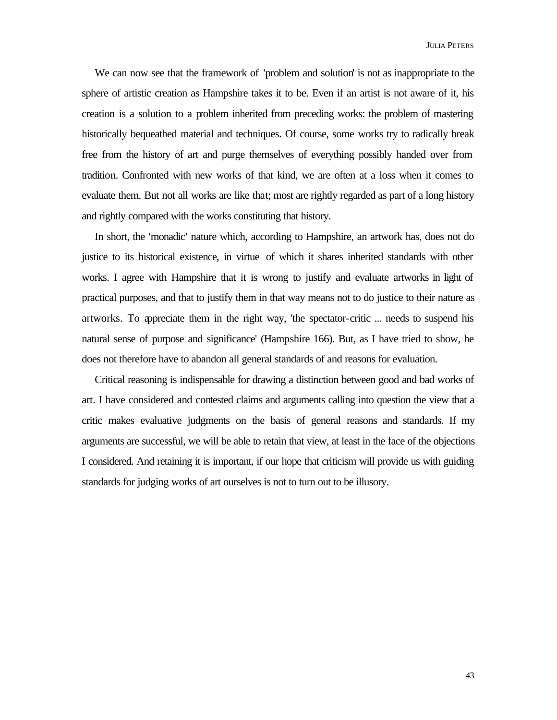We can now see that the framework of 'problem and solution' is not as inappropriate to the sphere of artistic creation as Hampshire takes it to be. Even if an artist is not aware of it, his creation is a solution to a problem inherited from preceding works: the problem of mastering historically bequeathed material and techniques. Of course, some works try to radically break free from the history of art and purge themselves of everything possibly handed over from tradition. Confronted with new works of that kind, we are often at a loss when it comes to evaluate them. But not all works are like that; most are rightly regarded as part of a long history and rightly compared with the works constituting that history.

In short, the 'monadic' nature which, according to Hampshire, an artwork has, does not do justice to its historical existence, in virtue of which it shares inherited standards with other works. I agree with Hampshire that it is wrong to justify and evaluate artworks in light of practical purposes, and that to justify them in that way means not to do justice to their nature as artworks. To appreciate them in the right way, 'the spectator-critic ... needs to suspend his natural sense of purpose and significance' (Hampshire 166). But, as I have tried to show, he does not therefore have to abandon all general standards of and reasons for evaluation.

Critical reasoning is indispensable for drawing a distinction between good and bad works of art. I have considered and contested claims and arguments calling into question the view that a critic makes evaluative judgments on the basis of general reasons and standards. If my arguments are successful, we will be able to retain that view, at least in the face of the objections I considered. And retaining it is important, if our hope that criticism will provide us with guiding standards for judging works of art ourselves is not to turn out to be illusory.